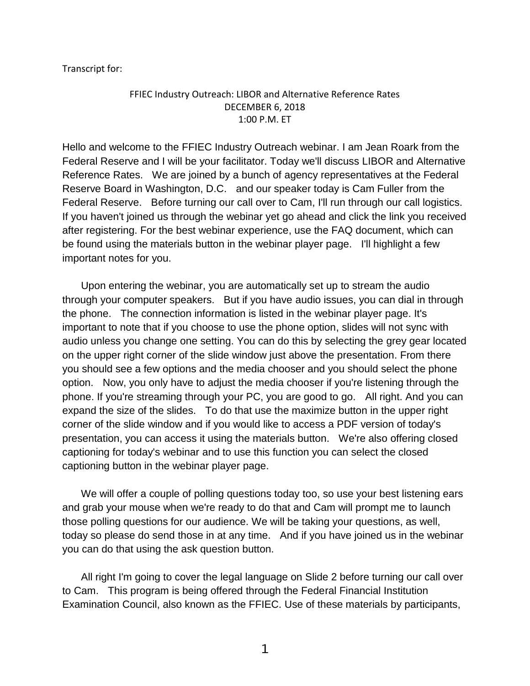Transcript for:

## FFIEC Industry Outreach: LIBOR and Alternative Reference Rates DECEMBER 6, 2018 1:00 P.M. ET

Hello and welcome to the FFIEC Industry Outreach webinar. I am Jean Roark from the Federal Reserve and I will be your facilitator. Today we'll discuss LIBOR and Alternative Reference Rates. We are joined by a bunch of agency representatives at the Federal Reserve Board in Washington, D.C. and our speaker today is Cam Fuller from the Federal Reserve. Before turning our call over to Cam, I'll run through our call logistics. If you haven't joined us through the webinar yet go ahead and click the link you received after registering. For the best webinar experience, use the FAQ document, which can be found using the materials button in the webinar player page. I'll highlight a few important notes for you.

Upon entering the webinar, you are automatically set up to stream the audio through your computer speakers. But if you have audio issues, you can dial in through the phone. The connection information is listed in the webinar player page. It's important to note that if you choose to use the phone option, slides will not sync with audio unless you change one setting. You can do this by selecting the grey gear located on the upper right corner of the slide window just above the presentation. From there you should see a few options and the media chooser and you should select the phone option. Now, you only have to adjust the media chooser if you're listening through the phone. If you're streaming through your PC, you are good to go. All right. And you can expand the size of the slides. To do that use the maximize button in the upper right corner of the slide window and if you would like to access a PDF version of today's presentation, you can access it using the materials button. We're also offering closed captioning for today's webinar and to use this function you can select the closed captioning button in the webinar player page.

We will offer a couple of polling questions today too, so use your best listening ears and grab your mouse when we're ready to do that and Cam will prompt me to launch those polling questions for our audience. We will be taking your questions, as well, today so please do send those in at any time. And if you have joined us in the webinar you can do that using the ask question button.

All right I'm going to cover the legal language on Slide 2 before turning our call over to Cam. This program is being offered through the Federal Financial Institution Examination Council, also known as the FFIEC. Use of these materials by participants,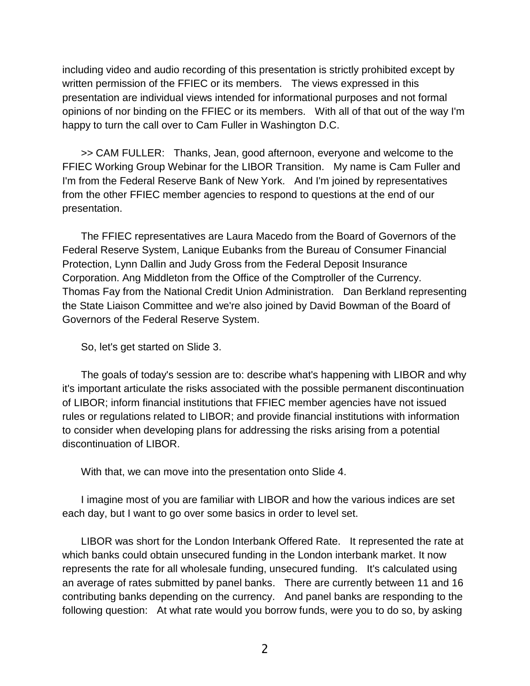including video and audio recording of this presentation is strictly prohibited except by written permission of the FFIEC or its members. The views expressed in this presentation are individual views intended for informational purposes and not formal opinions of nor binding on the FFIEC or its members. With all of that out of the way I'm happy to turn the call over to Cam Fuller in Washington D.C.

>> CAM FULLER: Thanks, Jean, good afternoon, everyone and welcome to the FFIEC Working Group Webinar for the LIBOR Transition. My name is Cam Fuller and I'm from the Federal Reserve Bank of New York. And I'm joined by representatives from the other FFIEC member agencies to respond to questions at the end of our presentation.

The FFIEC representatives are Laura Macedo from the Board of Governors of the Federal Reserve System, Lanique Eubanks from the Bureau of Consumer Financial Protection, Lynn Dallin and Judy Gross from the Federal Deposit Insurance Corporation. Ang Middleton from the Office of the Comptroller of the Currency. Thomas Fay from the National Credit Union Administration. Dan Berkland representing the State Liaison Committee and we're also joined by David Bowman of the Board of Governors of the Federal Reserve System.

So, let's get started on Slide 3.

The goals of today's session are to: describe what's happening with LIBOR and why it's important articulate the risks associated with the possible permanent discontinuation of LIBOR; inform financial institutions that FFIEC member agencies have not issued rules or regulations related to LIBOR; and provide financial institutions with information to consider when developing plans for addressing the risks arising from a potential discontinuation of LIBOR.

With that, we can move into the presentation onto Slide 4.

I imagine most of you are familiar with LIBOR and how the various indices are set each day, but I want to go over some basics in order to level set.

LIBOR was short for the London Interbank Offered Rate. It represented the rate at which banks could obtain unsecured funding in the London interbank market. It now represents the rate for all wholesale funding, unsecured funding. It's calculated using an average of rates submitted by panel banks. There are currently between 11 and 16 contributing banks depending on the currency. And panel banks are responding to the following question: At what rate would you borrow funds, were you to do so, by asking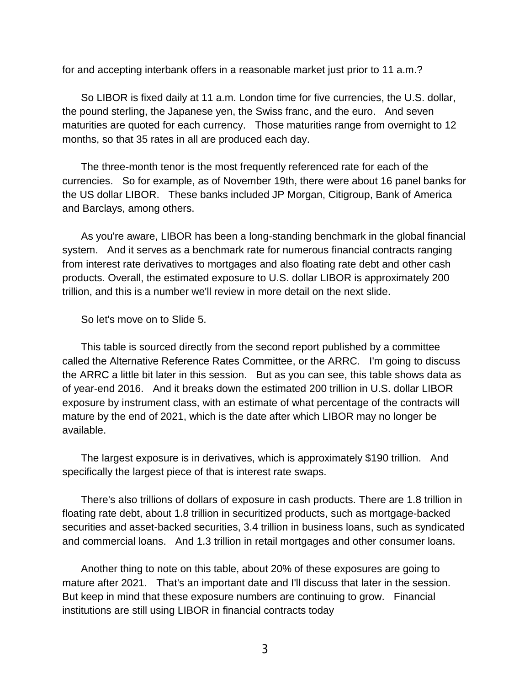for and accepting interbank offers in a reasonable market just prior to 11 a.m.?

So LIBOR is fixed daily at 11 a.m. London time for five currencies, the U.S. dollar, the pound sterling, the Japanese yen, the Swiss franc, and the euro. And seven maturities are quoted for each currency. Those maturities range from overnight to 12 months, so that 35 rates in all are produced each day.

The three-month tenor is the most frequently referenced rate for each of the currencies. So for example, as of November 19th, there were about 16 panel banks for the US dollar LIBOR. These banks included JP Morgan, Citigroup, Bank of America and Barclays, among others.

As you're aware, LIBOR has been a long-standing benchmark in the global financial system. And it serves as a benchmark rate for numerous financial contracts ranging from interest rate derivatives to mortgages and also floating rate debt and other cash products. Overall, the estimated exposure to U.S. dollar LIBOR is approximately 200 trillion, and this is a number we'll review in more detail on the next slide.

So let's move on to Slide 5.

This table is sourced directly from the second report published by a committee called the Alternative Reference Rates Committee, or the ARRC. I'm going to discuss the ARRC a little bit later in this session. But as you can see, this table shows data as of year-end 2016. And it breaks down the estimated 200 trillion in U.S. dollar LIBOR exposure by instrument class, with an estimate of what percentage of the contracts will mature by the end of 2021, which is the date after which LIBOR may no longer be available.

The largest exposure is in derivatives, which is approximately \$190 trillion. And specifically the largest piece of that is interest rate swaps.

There's also trillions of dollars of exposure in cash products. There are 1.8 trillion in floating rate debt, about 1.8 trillion in securitized products, such as mortgage-backed securities and asset-backed securities, 3.4 trillion in business loans, such as syndicated and commercial loans. And 1.3 trillion in retail mortgages and other consumer loans.

Another thing to note on this table, about 20% of these exposures are going to mature after 2021. That's an important date and I'll discuss that later in the session. But keep in mind that these exposure numbers are continuing to grow. Financial institutions are still using LIBOR in financial contracts today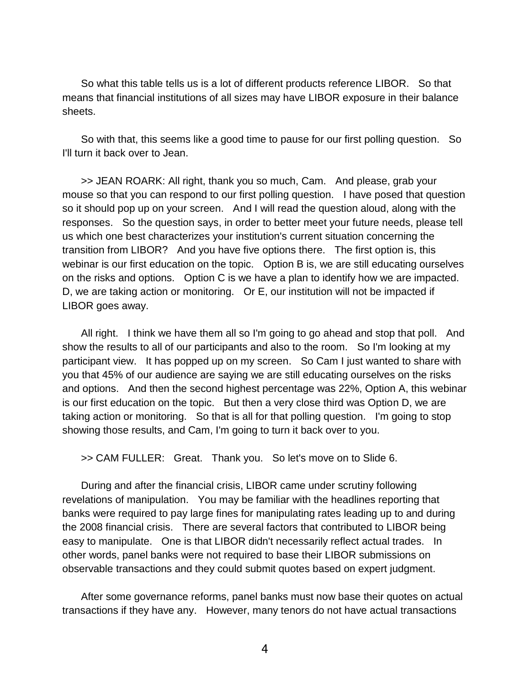So what this table tells us is a lot of different products reference LIBOR. So that means that financial institutions of all sizes may have LIBOR exposure in their balance sheets.

So with that, this seems like a good time to pause for our first polling question. So I'll turn it back over to Jean.

>> JEAN ROARK: All right, thank you so much, Cam. And please, grab your mouse so that you can respond to our first polling question. I have posed that question so it should pop up on your screen. And I will read the question aloud, along with the responses. So the question says, in order to better meet your future needs, please tell us which one best characterizes your institution's current situation concerning the transition from LIBOR? And you have five options there. The first option is, this webinar is our first education on the topic. Option B is, we are still educating ourselves on the risks and options. Option C is we have a plan to identify how we are impacted. D, we are taking action or monitoring. Or E, our institution will not be impacted if LIBOR goes away.

All right. I think we have them all so I'm going to go ahead and stop that poll. And show the results to all of our participants and also to the room. So I'm looking at my participant view. It has popped up on my screen. So Cam I just wanted to share with you that 45% of our audience are saying we are still educating ourselves on the risks and options. And then the second highest percentage was 22%, Option A, this webinar is our first education on the topic. But then a very close third was Option D, we are taking action or monitoring. So that is all for that polling question. I'm going to stop showing those results, and Cam, I'm going to turn it back over to you.

>> CAM FULLER: Great. Thank you. So let's move on to Slide 6.

During and after the financial crisis, LIBOR came under scrutiny following revelations of manipulation. You may be familiar with the headlines reporting that banks were required to pay large fines for manipulating rates leading up to and during the 2008 financial crisis. There are several factors that contributed to LIBOR being easy to manipulate. One is that LIBOR didn't necessarily reflect actual trades. In other words, panel banks were not required to base their LIBOR submissions on observable transactions and they could submit quotes based on expert judgment.

After some governance reforms, panel banks must now base their quotes on actual transactions if they have any. However, many tenors do not have actual transactions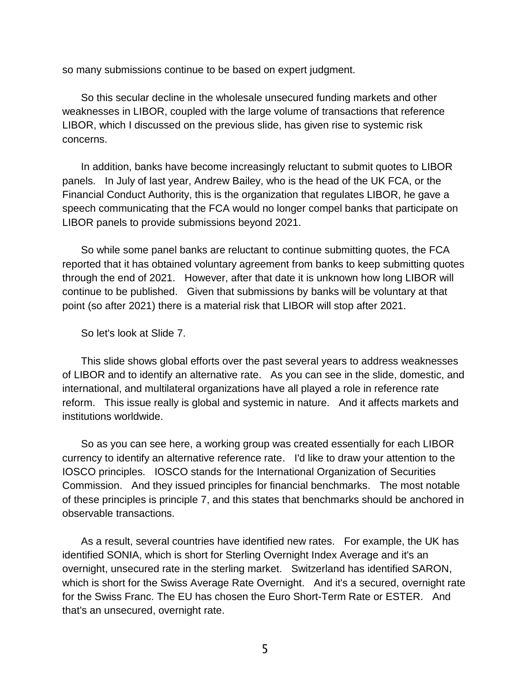so many submissions continue to be based on expert judgment.

So this secular decline in the wholesale unsecured funding markets and other weaknesses in LIBOR, coupled with the large volume of transactions that reference LIBOR, which I discussed on the previous slide, has given rise to systemic risk concerns.

In addition, banks have become increasingly reluctant to submit quotes to LIBOR panels. In July of last year, Andrew Bailey, who is the head of the UK FCA, or the Financial Conduct Authority, this is the organization that regulates LIBOR, he gave a speech communicating that the FCA would no longer compel banks that participate on LIBOR panels to provide submissions beyond 2021.

So while some panel banks are reluctant to continue submitting quotes, the FCA reported that it has obtained voluntary agreement from banks to keep submitting quotes through the end of 2021. However, after that date it is unknown how long LIBOR will continue to be published. Given that submissions by banks will be voluntary at that point (so after 2021) there is a material risk that LIBOR will stop after 2021.

So let's look at Slide 7.

This slide shows global efforts over the past several years to address weaknesses of LIBOR and to identify an alternative rate. As you can see in the slide, domestic, and international, and multilateral organizations have all played a role in reference rate reform. This issue really is global and systemic in nature. And it affects markets and institutions worldwide.

So as you can see here, a working group was created essentially for each LIBOR currency to identify an alternative reference rate. I'd like to draw your attention to the IOSCO principles. IOSCO stands for the International Organization of Securities Commission. And they issued principles for financial benchmarks. The most notable of these principles is principle 7, and this states that benchmarks should be anchored in observable transactions.

As a result, several countries have identified new rates. For example, the UK has identified SONIA, which is short for Sterling Overnight Index Average and it's an overnight, unsecured rate in the sterling market. Switzerland has identified SARON, which is short for the Swiss Average Rate Overnight. And it's a secured, overnight rate for the Swiss Franc. The EU has chosen the Euro Short-Term Rate or ESTER. And that's an unsecured, overnight rate.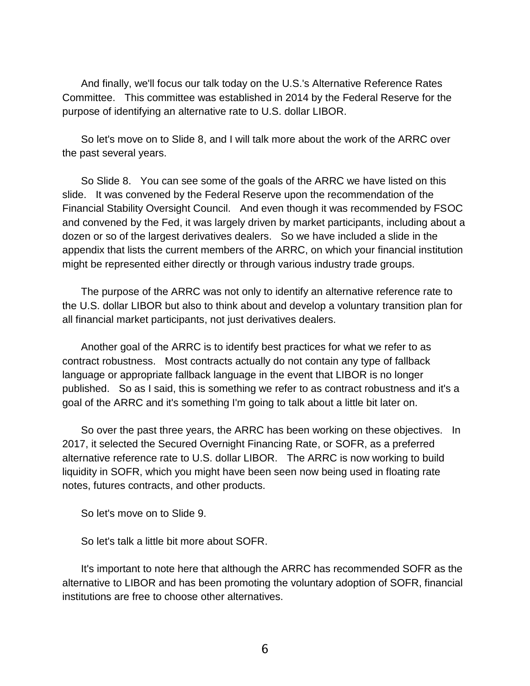And finally, we'll focus our talk today on the U.S.'s Alternative Reference Rates Committee. This committee was established in 2014 by the Federal Reserve for the purpose of identifying an alternative rate to U.S. dollar LIBOR.

So let's move on to Slide 8, and I will talk more about the work of the ARRC over the past several years.

So Slide 8. You can see some of the goals of the ARRC we have listed on this slide. It was convened by the Federal Reserve upon the recommendation of the Financial Stability Oversight Council. And even though it was recommended by FSOC and convened by the Fed, it was largely driven by market participants, including about a dozen or so of the largest derivatives dealers. So we have included a slide in the appendix that lists the current members of the ARRC, on which your financial institution might be represented either directly or through various industry trade groups.

The purpose of the ARRC was not only to identify an alternative reference rate to the U.S. dollar LIBOR but also to think about and develop a voluntary transition plan for all financial market participants, not just derivatives dealers.

Another goal of the ARRC is to identify best practices for what we refer to as contract robustness. Most contracts actually do not contain any type of fallback language or appropriate fallback language in the event that LIBOR is no longer published. So as I said, this is something we refer to as contract robustness and it's a goal of the ARRC and it's something I'm going to talk about a little bit later on.

So over the past three years, the ARRC has been working on these objectives. In 2017, it selected the Secured Overnight Financing Rate, or SOFR, as a preferred alternative reference rate to U.S. dollar LIBOR. The ARRC is now working to build liquidity in SOFR, which you might have been seen now being used in floating rate notes, futures contracts, and other products.

So let's move on to Slide 9.

So let's talk a little bit more about SOFR.

It's important to note here that although the ARRC has recommended SOFR as the alternative to LIBOR and has been promoting the voluntary adoption of SOFR, financial institutions are free to choose other alternatives.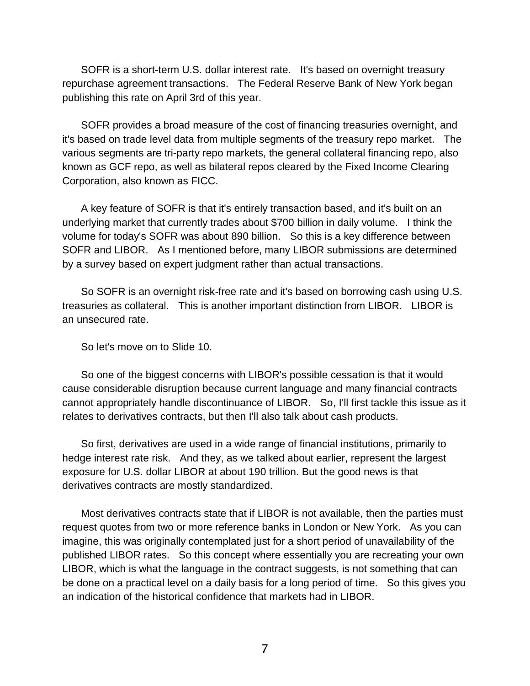SOFR is a short-term U.S. dollar interest rate. It's based on overnight treasury repurchase agreement transactions. The Federal Reserve Bank of New York began publishing this rate on April 3rd of this year.

SOFR provides a broad measure of the cost of financing treasuries overnight, and it's based on trade level data from multiple segments of the treasury repo market. The various segments are tri-party repo markets, the general collateral financing repo, also known as GCF repo, as well as bilateral repos cleared by the Fixed Income Clearing Corporation, also known as FICC.

A key feature of SOFR is that it's entirely transaction based, and it's built on an underlying market that currently trades about \$700 billion in daily volume. I think the volume for today's SOFR was about 890 billion. So this is a key difference between SOFR and LIBOR. As I mentioned before, many LIBOR submissions are determined by a survey based on expert judgment rather than actual transactions.

So SOFR is an overnight risk-free rate and it's based on borrowing cash using U.S. treasuries as collateral. This is another important distinction from LIBOR. LIBOR is an unsecured rate.

So let's move on to Slide 10.

So one of the biggest concerns with LIBOR's possible cessation is that it would cause considerable disruption because current language and many financial contracts cannot appropriately handle discontinuance of LIBOR. So, I'll first tackle this issue as it relates to derivatives contracts, but then I'll also talk about cash products.

So first, derivatives are used in a wide range of financial institutions, primarily to hedge interest rate risk. And they, as we talked about earlier, represent the largest exposure for U.S. dollar LIBOR at about 190 trillion. But the good news is that derivatives contracts are mostly standardized.

Most derivatives contracts state that if LIBOR is not available, then the parties must request quotes from two or more reference banks in London or New York. As you can imagine, this was originally contemplated just for a short period of unavailability of the published LIBOR rates. So this concept where essentially you are recreating your own LIBOR, which is what the language in the contract suggests, is not something that can be done on a practical level on a daily basis for a long period of time. So this gives you an indication of the historical confidence that markets had in LIBOR.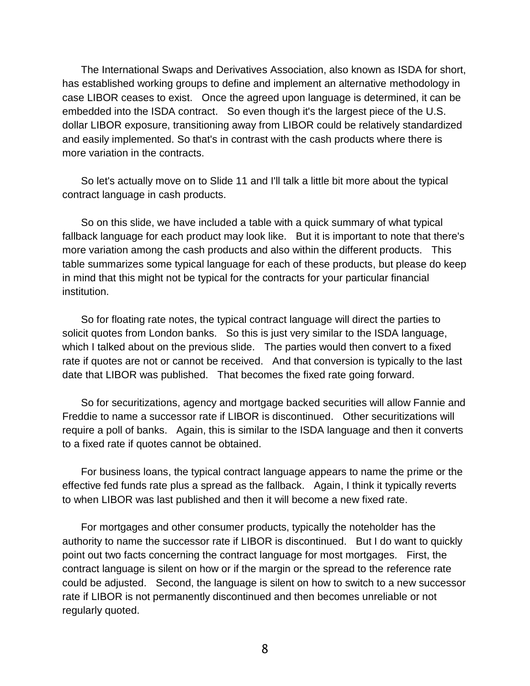The International Swaps and Derivatives Association, also known as ISDA for short, has established working groups to define and implement an alternative methodology in case LIBOR ceases to exist. Once the agreed upon language is determined, it can be embedded into the ISDA contract. So even though it's the largest piece of the U.S. dollar LIBOR exposure, transitioning away from LIBOR could be relatively standardized and easily implemented. So that's in contrast with the cash products where there is more variation in the contracts.

So let's actually move on to Slide 11 and I'll talk a little bit more about the typical contract language in cash products.

So on this slide, we have included a table with a quick summary of what typical fallback language for each product may look like. But it is important to note that there's more variation among the cash products and also within the different products. This table summarizes some typical language for each of these products, but please do keep in mind that this might not be typical for the contracts for your particular financial institution.

So for floating rate notes, the typical contract language will direct the parties to solicit quotes from London banks. So this is just very similar to the ISDA language, which I talked about on the previous slide. The parties would then convert to a fixed rate if quotes are not or cannot be received. And that conversion is typically to the last date that LIBOR was published. That becomes the fixed rate going forward.

So for securitizations, agency and mortgage backed securities will allow Fannie and Freddie to name a successor rate if LIBOR is discontinued. Other securitizations will require a poll of banks. Again, this is similar to the ISDA language and then it converts to a fixed rate if quotes cannot be obtained.

For business loans, the typical contract language appears to name the prime or the effective fed funds rate plus a spread as the fallback. Again, I think it typically reverts to when LIBOR was last published and then it will become a new fixed rate.

For mortgages and other consumer products, typically the noteholder has the authority to name the successor rate if LIBOR is discontinued. But I do want to quickly point out two facts concerning the contract language for most mortgages. First, the contract language is silent on how or if the margin or the spread to the reference rate could be adjusted. Second, the language is silent on how to switch to a new successor rate if LIBOR is not permanently discontinued and then becomes unreliable or not regularly quoted.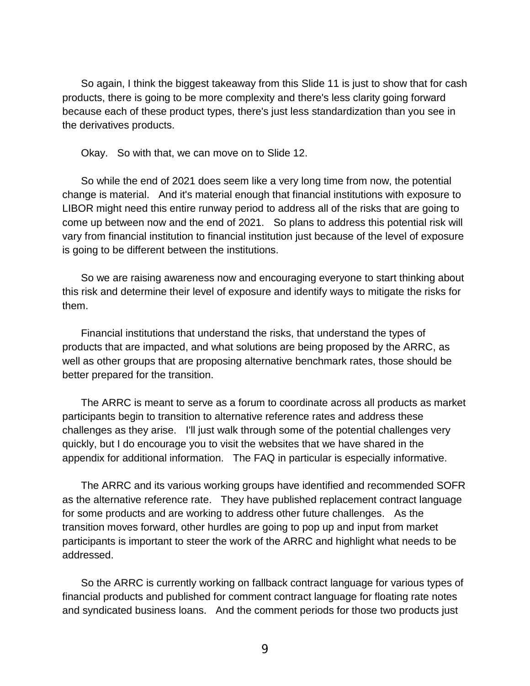So again, I think the biggest takeaway from this Slide 11 is just to show that for cash products, there is going to be more complexity and there's less clarity going forward because each of these product types, there's just less standardization than you see in the derivatives products.

Okay. So with that, we can move on to Slide 12.

So while the end of 2021 does seem like a very long time from now, the potential change is material. And it's material enough that financial institutions with exposure to LIBOR might need this entire runway period to address all of the risks that are going to come up between now and the end of 2021. So plans to address this potential risk will vary from financial institution to financial institution just because of the level of exposure is going to be different between the institutions.

So we are raising awareness now and encouraging everyone to start thinking about this risk and determine their level of exposure and identify ways to mitigate the risks for them.

Financial institutions that understand the risks, that understand the types of products that are impacted, and what solutions are being proposed by the ARRC, as well as other groups that are proposing alternative benchmark rates, those should be better prepared for the transition.

The ARRC is meant to serve as a forum to coordinate across all products as market participants begin to transition to alternative reference rates and address these challenges as they arise. I'll just walk through some of the potential challenges very quickly, but I do encourage you to visit the websites that we have shared in the appendix for additional information. The FAQ in particular is especially informative.

The ARRC and its various working groups have identified and recommended SOFR as the alternative reference rate. They have published replacement contract language for some products and are working to address other future challenges. As the transition moves forward, other hurdles are going to pop up and input from market participants is important to steer the work of the ARRC and highlight what needs to be addressed.

So the ARRC is currently working on fallback contract language for various types of financial products and published for comment contract language for floating rate notes and syndicated business loans. And the comment periods for those two products just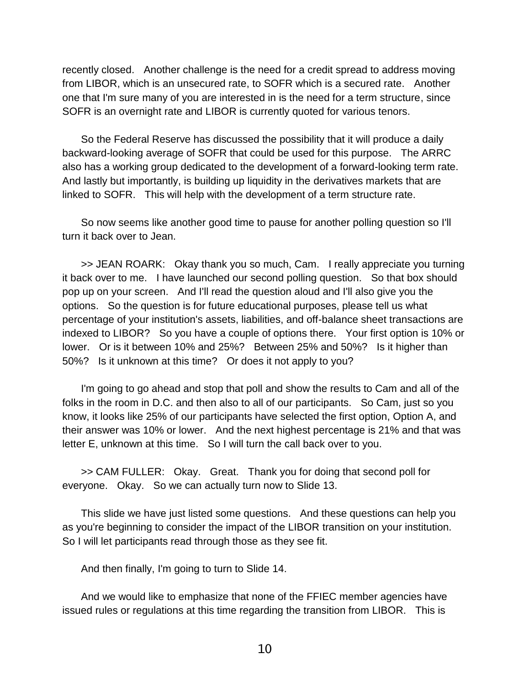recently closed. Another challenge is the need for a credit spread to address moving from LIBOR, which is an unsecured rate, to SOFR which is a secured rate. Another one that I'm sure many of you are interested in is the need for a term structure, since SOFR is an overnight rate and LIBOR is currently quoted for various tenors.

So the Federal Reserve has discussed the possibility that it will produce a daily backward-looking average of SOFR that could be used for this purpose. The ARRC also has a working group dedicated to the development of a forward-looking term rate. And lastly but importantly, is building up liquidity in the derivatives markets that are linked to SOFR. This will help with the development of a term structure rate.

So now seems like another good time to pause for another polling question so I'll turn it back over to Jean.

>> JEAN ROARK: Okay thank you so much, Cam. I really appreciate you turning it back over to me. I have launched our second polling question. So that box should pop up on your screen. And I'll read the question aloud and I'll also give you the options. So the question is for future educational purposes, please tell us what percentage of your institution's assets, liabilities, and off-balance sheet transactions are indexed to LIBOR? So you have a couple of options there. Your first option is 10% or lower. Or is it between 10% and 25%? Between 25% and 50%? Is it higher than 50%? Is it unknown at this time? Or does it not apply to you?

I'm going to go ahead and stop that poll and show the results to Cam and all of the folks in the room in D.C. and then also to all of our participants. So Cam, just so you know, it looks like 25% of our participants have selected the first option, Option A, and their answer was 10% or lower. And the next highest percentage is 21% and that was letter E, unknown at this time. So I will turn the call back over to you.

>> CAM FULLER: Okay. Great. Thank you for doing that second poll for everyone. Okay. So we can actually turn now to Slide 13.

This slide we have just listed some questions. And these questions can help you as you're beginning to consider the impact of the LIBOR transition on your institution. So I will let participants read through those as they see fit.

And then finally, I'm going to turn to Slide 14.

And we would like to emphasize that none of the FFIEC member agencies have issued rules or regulations at this time regarding the transition from LIBOR. This is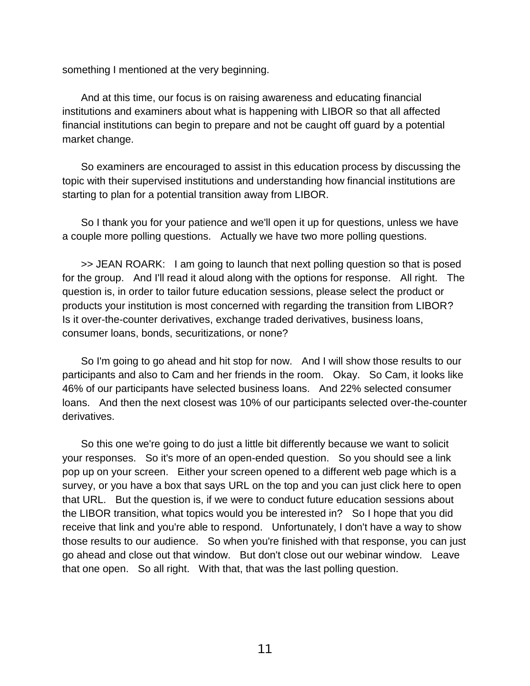something I mentioned at the very beginning.

And at this time, our focus is on raising awareness and educating financial institutions and examiners about what is happening with LIBOR so that all affected financial institutions can begin to prepare and not be caught off guard by a potential market change.

So examiners are encouraged to assist in this education process by discussing the topic with their supervised institutions and understanding how financial institutions are starting to plan for a potential transition away from LIBOR.

So I thank you for your patience and we'll open it up for questions, unless we have a couple more polling questions. Actually we have two more polling questions.

>> JEAN ROARK: I am going to launch that next polling question so that is posed for the group. And I'll read it aloud along with the options for response. All right. The question is, in order to tailor future education sessions, please select the product or products your institution is most concerned with regarding the transition from LIBOR? Is it over-the-counter derivatives, exchange traded derivatives, business loans, consumer loans, bonds, securitizations, or none?

So I'm going to go ahead and hit stop for now. And I will show those results to our participants and also to Cam and her friends in the room. Okay. So Cam, it looks like 46% of our participants have selected business loans. And 22% selected consumer loans. And then the next closest was 10% of our participants selected over-the-counter derivatives.

So this one we're going to do just a little bit differently because we want to solicit your responses. So it's more of an open-ended question. So you should see a link pop up on your screen. Either your screen opened to a different web page which is a survey, or you have a box that says URL on the top and you can just click here to open that URL. But the question is, if we were to conduct future education sessions about the LIBOR transition, what topics would you be interested in? So I hope that you did receive that link and you're able to respond. Unfortunately, I don't have a way to show those results to our audience. So when you're finished with that response, you can just go ahead and close out that window. But don't close out our webinar window. Leave that one open. So all right. With that, that was the last polling question.